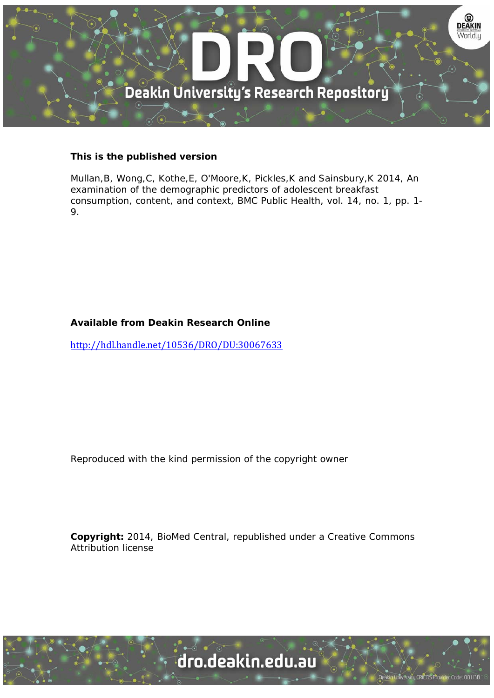

# **This is the published version**

Mullan,B, Wong,C, Kothe,E, O'Moore,K, Pickles,K and Sainsbury,K 2014, An examination of the demographic predictors of adolescent breakfast consumption, content, and context, BMC Public Health, vol. 14, no. 1, pp. 1- 9.

# **Available from Deakin Research Online**

http://hdl.handle.net/10536/DRO/DU:30067633

Reproduced with the kind permission of the copyright owner

**Copyright:** 2014, BioMed Central, republished under a Creative Commons Attribution license

University CRICOS Provider Code: 00113E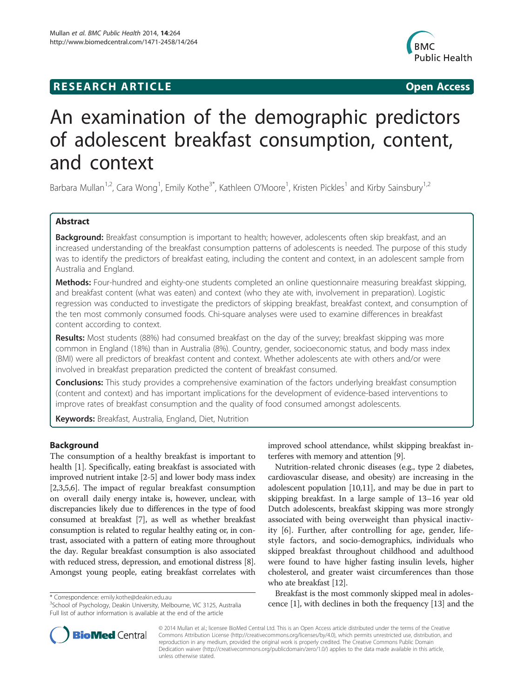# **RESEARCH ARTICLE Example 2014 12:30 The SEAR CHIPS 2014 12:30 The Open Access**



# An examination of the demographic predictors of adolescent breakfast consumption, content, and context

Barbara Mullan<sup>1,2</sup>, Cara Wong<sup>1</sup>, Emily Kothe<sup>3\*</sup>, Kathleen O'Moore<sup>1</sup>, Kristen Pickles<sup>1</sup> and Kirby Sainsbury<sup>1,2</sup>

# Abstract

Background: Breakfast consumption is important to health; however, adolescents often skip breakfast, and an increased understanding of the breakfast consumption patterns of adolescents is needed. The purpose of this study was to identify the predictors of breakfast eating, including the content and context, in an adolescent sample from Australia and England.

Methods: Four-hundred and eighty-one students completed an online questionnaire measuring breakfast skipping, and breakfast content (what was eaten) and context (who they ate with, involvement in preparation). Logistic regression was conducted to investigate the predictors of skipping breakfast, breakfast context, and consumption of the ten most commonly consumed foods. Chi-square analyses were used to examine differences in breakfast content according to context.

Results: Most students (88%) had consumed breakfast on the day of the survey; breakfast skipping was more common in England (18%) than in Australia (8%). Country, gender, socioeconomic status, and body mass index (BMI) were all predictors of breakfast content and context. Whether adolescents ate with others and/or were involved in breakfast preparation predicted the content of breakfast consumed.

**Conclusions:** This study provides a comprehensive examination of the factors underlying breakfast consumption (content and context) and has important implications for the development of evidence-based interventions to improve rates of breakfast consumption and the quality of food consumed amongst adolescents.

Keywords: Breakfast, Australia, England, Diet, Nutrition

# Background

The consumption of a healthy breakfast is important to health [[1\]](#page-8-0). Specifically, eating breakfast is associated with improved nutrient intake [[2-5\]](#page-8-0) and lower body mass index [[2,3](#page-8-0),[5,6](#page-8-0)]. The impact of regular breakfast consumption on overall daily energy intake is, however, unclear, with discrepancies likely due to differences in the type of food consumed at breakfast [\[7](#page-8-0)], as well as whether breakfast consumption is related to regular healthy eating or, in contrast, associated with a pattern of eating more throughout the day. Regular breakfast consumption is also associated with reduced stress, depression, and emotional distress [[8](#page-8-0)]. Amongst young people, eating breakfast correlates with

<sup>3</sup>School of Psychology, Deakin University, Melbourne, VIC 3125, Australia Full list of author information is available at the end of the article

improved school attendance, whilst skipping breakfast interferes with memory and attention [[9\]](#page-8-0).

Nutrition-related chronic diseases (e.g., type 2 diabetes, cardiovascular disease, and obesity) are increasing in the adolescent population [[10,11](#page-8-0)], and may be due in part to skipping breakfast. In a large sample of 13–16 year old Dutch adolescents, breakfast skipping was more strongly associated with being overweight than physical inactivity [\[6](#page-8-0)]. Further, after controlling for age, gender, lifestyle factors, and socio-demographics, individuals who skipped breakfast throughout childhood and adulthood were found to have higher fasting insulin levels, higher cholesterol, and greater waist circumferences than those who ate breakfast [\[12](#page-8-0)].

Breakfast is the most commonly skipped meal in adolescorrespondence: [emily.kothe@deakin.edu.au](mailto:emily.kothe@deakin.edu.au) **Securence in an and the frequency [[13\]](#page-8-0)** and the \* Correspondence: emily.kothe@deakin.edu.au **3525, Australia 35 cence [\[1\]](#page-8-0), with declines in both the frequency [13] and the** \* Co



© 2014 Mullan et al.; licensee BioMed Central Ltd. This is an Open Access article distributed under the terms of the Creative Commons Attribution License [\(http://creativecommons.org/licenses/by/4.0\)](http://creativecommons.org/licenses/by/4.0), which permits unrestricted use, distribution, and reproduction in any medium, provided the original work is properly credited. The Creative Commons Public Domain Dedication waiver [\(http://creativecommons.org/publicdomain/zero/1.0/](http://creativecommons.org/publicdomain/zero/1.0/)) applies to the data made available in this article, unless otherwise stated.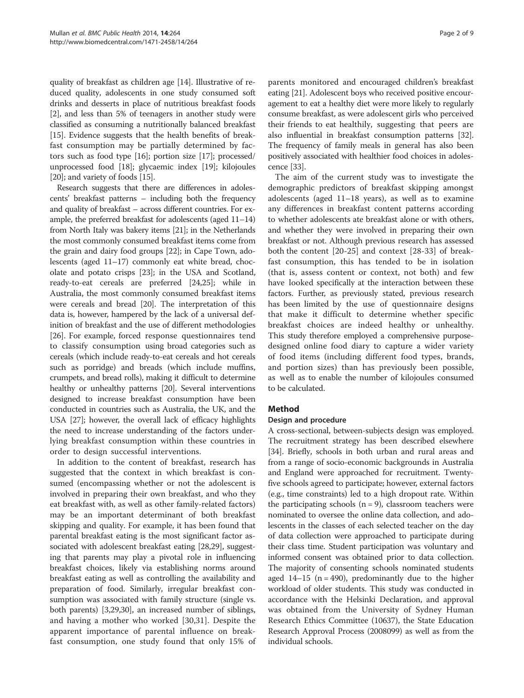quality of breakfast as children age [\[14](#page-8-0)]. Illustrative of reduced quality, adolescents in one study consumed soft drinks and desserts in place of nutritious breakfast foods [[2\]](#page-8-0), and less than 5% of teenagers in another study were classified as consuming a nutritionally balanced breakfast [[15](#page-9-0)]. Evidence suggests that the health benefits of breakfast consumption may be partially determined by factors such as food type [[16\]](#page-9-0); portion size [\[17\]](#page-9-0); processed/ unprocessed food [[18\]](#page-9-0); glycaemic index [[19](#page-9-0)]; kilojoules [[20](#page-9-0)]; and variety of foods [[15](#page-9-0)].

Research suggests that there are differences in adolescents' breakfast patterns – including both the frequency and quality of breakfast – across different countries. For example, the preferred breakfast for adolescents (aged 11–14) from North Italy was bakery items [\[21\]](#page-9-0); in the Netherlands the most commonly consumed breakfast items come from the grain and dairy food groups [[22](#page-9-0)]; in Cape Town, adolescents (aged 11–17) commonly eat white bread, chocolate and potato crisps [\[23\]](#page-9-0); in the USA and Scotland, ready-to-eat cereals are preferred [\[24,25](#page-9-0)]; while in Australia, the most commonly consumed breakfast items were cereals and bread [[20](#page-9-0)]. The interpretation of this data is, however, hampered by the lack of a universal definition of breakfast and the use of different methodologies [[26](#page-9-0)]. For example, forced response questionnaires tend to classify consumption using broad categories such as cereals (which include ready-to-eat cereals and hot cereals such as porridge) and breads (which include muffins, crumpets, and bread rolls), making it difficult to determine healthy or unhealthy patterns [\[20\]](#page-9-0). Several interventions designed to increase breakfast consumption have been conducted in countries such as Australia, the UK, and the USA [[27](#page-9-0)]; however, the overall lack of efficacy highlights the need to increase understanding of the factors underlying breakfast consumption within these countries in order to design successful interventions.

In addition to the content of breakfast, research has suggested that the context in which breakfast is consumed (encompassing whether or not the adolescent is involved in preparing their own breakfast, and who they eat breakfast with, as well as other family-related factors) may be an important determinant of both breakfast skipping and quality. For example, it has been found that parental breakfast eating is the most significant factor associated with adolescent breakfast eating [\[28,29\]](#page-9-0), suggesting that parents may play a pivotal role in influencing breakfast choices, likely via establishing norms around breakfast eating as well as controlling the availability and preparation of food. Similarly, irregular breakfast consumption was associated with family structure (single vs. both parents) [[3,](#page-8-0)[29,30\]](#page-9-0), an increased number of siblings, and having a mother who worked [\[30](#page-9-0),[31](#page-9-0)]. Despite the apparent importance of parental influence on breakfast consumption, one study found that only 15% of

parents monitored and encouraged children's breakfast eating [\[21](#page-9-0)]. Adolescent boys who received positive encouragement to eat a healthy diet were more likely to regularly consume breakfast, as were adolescent girls who perceived their friends to eat healthily, suggesting that peers are also influential in breakfast consumption patterns [[32](#page-9-0)]. The frequency of family meals in general has also been positively associated with healthier food choices in adolescence [\[33\]](#page-9-0).

The aim of the current study was to investigate the demographic predictors of breakfast skipping amongst adolescents (aged 11–18 years), as well as to examine any differences in breakfast content patterns according to whether adolescents ate breakfast alone or with others, and whether they were involved in preparing their own breakfast or not. Although previous research has assessed both the content [[20](#page-9-0)-[25\]](#page-9-0) and context [\[28](#page-9-0)-[33\]](#page-9-0) of breakfast consumption, this has tended to be in isolation (that is, assess content or context, not both) and few have looked specifically at the interaction between these factors. Further, as previously stated, previous research has been limited by the use of questionnaire designs that make it difficult to determine whether specific breakfast choices are indeed healthy or unhealthy. This study therefore employed a comprehensive purposedesigned online food diary to capture a wider variety of food items (including different food types, brands, and portion sizes) than has previously been possible, as well as to enable the number of kilojoules consumed to be calculated.

# Method

## Design and procedure

A cross-sectional, between-subjects design was employed. The recruitment strategy has been described elsewhere [[34](#page-9-0)]. Briefly, schools in both urban and rural areas and from a range of socio-economic backgrounds in Australia and England were approached for recruitment. Twentyfive schools agreed to participate; however, external factors (e.g., time constraints) led to a high dropout rate. Within the participating schools  $(n = 9)$ , classroom teachers were nominated to oversee the online data collection, and adolescents in the classes of each selected teacher on the day of data collection were approached to participate during their class time. Student participation was voluntary and informed consent was obtained prior to data collection. The majority of consenting schools nominated students aged  $14-15$  (n = 490), predominantly due to the higher workload of older students. This study was conducted in accordance with the Helsinki Declaration, and approval was obtained from the University of Sydney Human Research Ethics Committee (10637), the State Education Research Approval Process (2008099) as well as from the individual schools.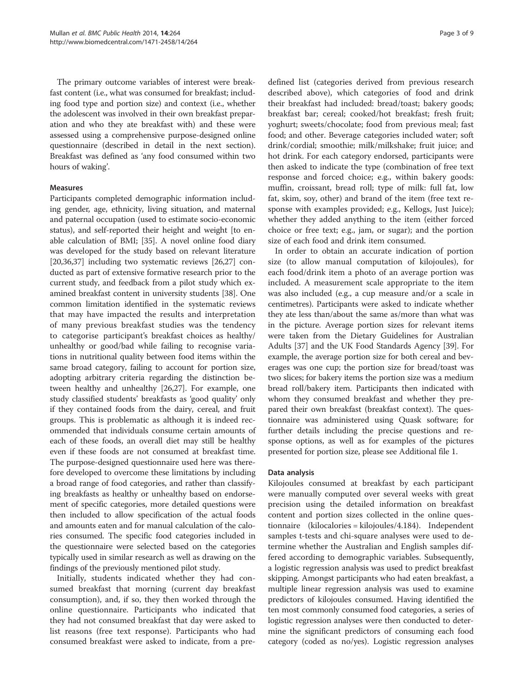The primary outcome variables of interest were breakfast content (i.e., what was consumed for breakfast; including food type and portion size) and context (i.e., whether the adolescent was involved in their own breakfast preparation and who they ate breakfast with) and these were assessed using a comprehensive purpose-designed online questionnaire (described in detail in the next section). Breakfast was defined as 'any food consumed within two hours of waking'.

### Measures

Participants completed demographic information including gender, age, ethnicity, living situation, and maternal and paternal occupation (used to estimate socio-economic status), and self-reported their height and weight [to enable calculation of BMI; [[35](#page-9-0)]. A novel online food diary was developed for the study based on relevant literature [[20,36,37\]](#page-9-0) including two systematic reviews [[26,27\]](#page-9-0) conducted as part of extensive formative research prior to the current study, and feedback from a pilot study which examined breakfast content in university students [\[38\]](#page-9-0). One common limitation identified in the systematic reviews that may have impacted the results and interpretation of many previous breakfast studies was the tendency to categorise participant's breakfast choices as healthy/ unhealthy or good/bad while failing to recognise variations in nutritional quality between food items within the same broad category, failing to account for portion size, adopting arbitrary criteria regarding the distinction between healthy and unhealthy [[26,27](#page-9-0)]. For example, one study classified students' breakfasts as 'good quality' only if they contained foods from the dairy, cereal, and fruit groups. This is problematic as although it is indeed recommended that individuals consume certain amounts of each of these foods, an overall diet may still be healthy even if these foods are not consumed at breakfast time. The purpose-designed questionnaire used here was therefore developed to overcome these limitations by including a broad range of food categories, and rather than classifying breakfasts as healthy or unhealthy based on endorsement of specific categories, more detailed questions were then included to allow specification of the actual foods and amounts eaten and for manual calculation of the calories consumed. The specific food categories included in the questionnaire were selected based on the categories typically used in similar research as well as drawing on the findings of the previously mentioned pilot study.

Initially, students indicated whether they had consumed breakfast that morning (current day breakfast consumption), and, if so, they then worked through the online questionnaire. Participants who indicated that they had not consumed breakfast that day were asked to list reasons (free text response). Participants who had consumed breakfast were asked to indicate, from a pre-

defined list (categories derived from previous research described above), which categories of food and drink their breakfast had included: bread/toast; bakery goods; breakfast bar; cereal; cooked/hot breakfast; fresh fruit; yoghurt; sweets/chocolate; food from previous meal; fast food; and other. Beverage categories included water; soft drink/cordial; smoothie; milk/milkshake; fruit juice; and hot drink. For each category endorsed, participants were then asked to indicate the type (combination of free text response and forced choice; e.g., within bakery goods: muffin, croissant, bread roll; type of milk: full fat, low fat, skim, soy, other) and brand of the item (free text response with examples provided; e.g., Kellogs, Just Juice); whether they added anything to the item (either forced choice or free text; e.g., jam, or sugar); and the portion size of each food and drink item consumed.

In order to obtain an accurate indication of portion size (to allow manual computation of kilojoules), for each food/drink item a photo of an average portion was included. A measurement scale appropriate to the item was also included (e.g., a cup measure and/or a scale in centimetres). Participants were asked to indicate whether they ate less than/about the same as/more than what was in the picture. Average portion sizes for relevant items were taken from the Dietary Guidelines for Australian Adults [[37](#page-9-0)] and the UK Food Standards Agency [[39](#page-9-0)]. For example, the average portion size for both cereal and beverages was one cup; the portion size for bread/toast was two slices; for bakery items the portion size was a medium bread roll/bakery item. Participants then indicated with whom they consumed breakfast and whether they prepared their own breakfast (breakfast context). The questionnaire was administered using Quask software; for further details including the precise questions and response options, as well as for examples of the pictures presented for portion size, please see Additional file [1](#page-8-0).

#### Data analysis

Kilojoules consumed at breakfast by each participant were manually computed over several weeks with great precision using the detailed information on breakfast content and portion sizes collected in the online questionnaire (kilocalories = kilojoules/4.184). Independent samples t-tests and chi-square analyses were used to determine whether the Australian and English samples differed according to demographic variables. Subsequently, a logistic regression analysis was used to predict breakfast skipping. Amongst participants who had eaten breakfast, a multiple linear regression analysis was used to examine predictors of kilojoules consumed. Having identified the ten most commonly consumed food categories, a series of logistic regression analyses were then conducted to determine the significant predictors of consuming each food category (coded as no/yes). Logistic regression analyses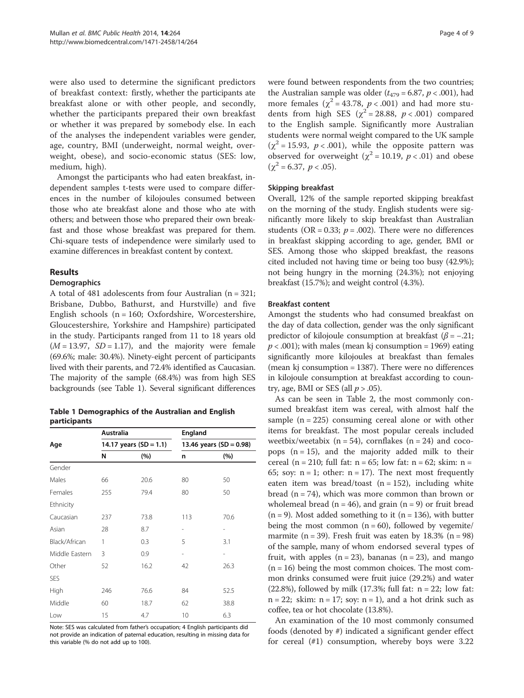were also used to determine the significant predictors of breakfast context: firstly, whether the participants ate breakfast alone or with other people, and secondly, whether the participants prepared their own breakfast or whether it was prepared by somebody else. In each of the analyses the independent variables were gender, age, country, BMI (underweight, normal weight, overweight, obese), and socio-economic status (SES: low, medium, high).

Amongst the participants who had eaten breakfast, independent samples t-tests were used to compare differences in the number of kilojoules consumed between those who ate breakfast alone and those who ate with others; and between those who prepared their own breakfast and those whose breakfast was prepared for them. Chi-square tests of independence were similarly used to examine differences in breakfast content by context.

### Results

### Demographics

A total of 481 adolescents from four Australian (n = 321; Brisbane, Dubbo, Bathurst, and Hurstville) and five English schools (n = 160; Oxfordshire, Worcestershire, Gloucestershire, Yorkshire and Hampshire) participated in the study. Participants ranged from 11 to 18 years old  $(M = 13.97, SD = 1.17)$ , and the majority were female (69.6%; male: 30.4%). Ninety-eight percent of participants lived with their parents, and 72.4% identified as Caucasian. The majority of the sample (68.4%) was from high SES backgrounds (see Table 1). Several significant differences

Table 1 Demographics of the Australian and English participants

|                | Australia |                          | England<br>13.46 years $(SD = 0.98)$ |      |  |
|----------------|-----------|--------------------------|--------------------------------------|------|--|
| Age            |           | 14.17 years $(SD = 1.1)$ |                                      |      |  |
|                | N         | (%)                      | n                                    | (%)  |  |
| Gender         |           |                          |                                      |      |  |
| Males          | 66        | 20.6                     | 80                                   | 50   |  |
| Females        | 255       | 79.4                     | 80                                   | 50   |  |
| Ethnicity      |           |                          |                                      |      |  |
| Caucasian      | 237       | 73.8                     | 113                                  | 70.6 |  |
| Asian          | 28        | 8.7                      | ÷                                    | ÷,   |  |
| Black/African  | 1         | 0.3                      | 5                                    | 3.1  |  |
| Middle Eastern | 3         | 0.9                      | $\overline{a}$                       |      |  |
| Other          | 52        | 16.2                     | 42                                   | 26.3 |  |
| <b>SES</b>     |           |                          |                                      |      |  |
| High           | 246       | 76.6                     | 84                                   | 52.5 |  |
| Middle         | 60        | 18.7                     | 62                                   | 38.8 |  |
| Low            | 15        | 4.7                      | 10                                   | 6.3  |  |

Note: SES was calculated from father's occupation; 4 English participants did not provide an indication of paternal education, resulting in missing data for this variable (% do not add up to 100).

were found between respondents from the two countries; the Australian sample was older  $(t_{479} = 6.87, p < .001)$ , had more females ( $\chi^2$  = 43.78, *p* < .001) and had more students from high SES ( $\chi^2$  = 28.88,  $p < .001$ ) compared to the English sample. Significantly more Australian students were normal weight compared to the UK sample  $(\chi^2 = 15.93, p < .001)$ , while the opposite pattern was observed for overweight ( $\chi^2$  = 10.19,  $p < .01$ ) and obese  $(\chi^2 = 6.37, p < .05).$ 

### Skipping breakfast

Overall, 12% of the sample reported skipping breakfast on the morning of the study. English students were significantly more likely to skip breakfast than Australian students (OR = 0.33;  $p = .002$ ). There were no differences in breakfast skipping according to age, gender, BMI or SES. Among those who skipped breakfast, the reasons cited included not having time or being too busy (42.9%); not being hungry in the morning (24.3%); not enjoying breakfast (15.7%); and weight control (4.3%).

### Breakfast content

Amongst the students who had consumed breakfast on the day of data collection, gender was the only significant predictor of kilojoule consumption at breakfast ( $\beta$  = -.21;  $p < .001$ ); with males (mean kj consumption = 1969) eating significantly more kilojoules at breakfast than females (mean kj consumption = 1387). There were no differences in kilojoule consumption at breakfast according to country, age, BMI or SES (all  $p > .05$ ).

As can be seen in Table [2,](#page-5-0) the most commonly consumed breakfast item was cereal, with almost half the sample  $(n = 225)$  consuming cereal alone or with other items for breakfast. The most popular cereals included weetbix/weetabix ( $n = 54$ ), cornflakes ( $n = 24$ ) and cocopops  $(n = 15)$ , and the majority added milk to their cereal (n = 210; full fat:  $n = 65$ ; low fat:  $n = 62$ ; skim:  $n =$ 65; soy:  $n = 1$ ; other:  $n = 17$ ). The next most frequently eaten item was bread/toast ( $n = 152$ ), including white bread  $(n = 74)$ , which was more common than brown or wholemeal bread ( $n = 46$ ), and grain ( $n = 9$ ) or fruit bread  $(n = 9)$ . Most added something to it  $(n = 136)$ , with butter being the most common  $(n = 60)$ , followed by vegemite/ marmite (n = 39). Fresh fruit was eaten by  $18.3\%$  (n = 98) of the sample, many of whom endorsed several types of fruit, with apples  $(n = 23)$ , bananas  $(n = 23)$ , and mango  $(n = 16)$  being the most common choices. The most common drinks consumed were fruit juice (29.2%) and water (22.8%), followed by milk (17.3%; full fat:  $n = 22$ ; low fat:  $n = 22$ ; skim:  $n = 17$ ; soy:  $n = 1$ ), and a hot drink such as coffee, tea or hot chocolate (13.8%).

An examination of the 10 most commonly consumed foods (denoted by #) indicated a significant gender effect for cereal (#1) consumption, whereby boys were 3.22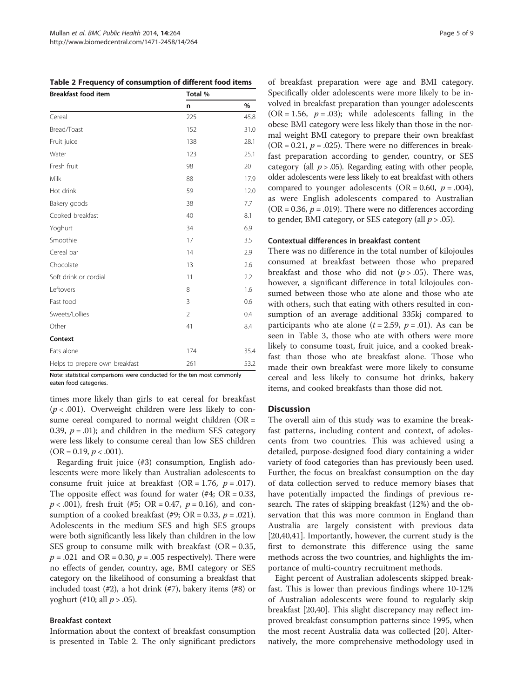<span id="page-5-0"></span>Table 2 Frequency of consumption of different food items

| <b>Breakfast food item</b>     | Total %        |      |  |
|--------------------------------|----------------|------|--|
|                                | n              | $\%$ |  |
| Cereal                         | 225            | 45.8 |  |
| Bread/Toast                    | 152            | 31.0 |  |
| Fruit juice                    | 138            | 28.1 |  |
| Water                          | 123            | 25.1 |  |
| Fresh fruit                    | 98             | 20   |  |
| Milk                           | 88             | 17.9 |  |
| Hot drink                      | 59             | 12.0 |  |
| Bakery goods                   | 38             | 7.7  |  |
| Cooked breakfast               | 40             | 8.1  |  |
| Yoghurt                        | 34             | 6.9  |  |
| Smoothie                       | 17             | 3.5  |  |
| Cereal bar                     | 14             | 2.9  |  |
| Chocolate                      | 13             | 2.6  |  |
| Soft drink or cordial          | 11             | 2.2  |  |
| Leftovers                      | 8              | 1.6  |  |
| Fast food                      | 3              | 0.6  |  |
| Sweets/Lollies                 | $\mathfrak{D}$ | 0.4  |  |
| Other                          | 41             | 8.4  |  |
| Context                        |                |      |  |
| Eats alone                     | 174            | 35.4 |  |
| Helps to prepare own breakfast | 261            | 53.2 |  |

Note: statistical comparisons were conducted for the ten most commonly eaten food categories.

times more likely than girls to eat cereal for breakfast  $(p < .001)$ . Overweight children were less likely to consume cereal compared to normal weight children ( $OR =$ 0.39,  $p = .01$ ); and children in the medium SES category were less likely to consume cereal than low SES children  $(OR = 0.19, p < .001).$ 

Regarding fruit juice (#3) consumption, English adolescents were more likely than Australian adolescents to consume fruit juice at breakfast (OR = 1.76,  $p = .017$ ). The opposite effect was found for water  $(\#4; \text{ OR } = 0.33,$  $p < .001$ ), fresh fruit (#5; OR = 0.47,  $p = 0.16$ ), and consumption of a cooked breakfast  $(\text{\#9: OR} = 0.33, p = .021)$ . Adolescents in the medium SES and high SES groups were both significantly less likely than children in the low SES group to consume milk with breakfast  $(OR = 0.35,$  $p = .021$  and OR = 0.30,  $p = .005$  respectively). There were no effects of gender, country, age, BMI category or SES category on the likelihood of consuming a breakfast that included toast (#2), a hot drink (#7), bakery items (#8) or yoghurt (#10; all  $p > .05$ ).

#### Breakfast context

Information about the context of breakfast consumption is presented in Table 2. The only significant predictors

of breakfast preparation were age and BMI category. Specifically older adolescents were more likely to be involved in breakfast preparation than younger adolescents  $(OR = 1.56, p = .03)$ ; while adolescents falling in the obese BMI category were less likely than those in the normal weight BMI category to prepare their own breakfast (OR = 0.21,  $p = .025$ ). There were no differences in breakfast preparation according to gender, country, or SES category (all  $p > .05$ ). Regarding eating with other people, older adolescents were less likely to eat breakfast with others compared to younger adolescents (OR = 0.60,  $p = .004$ ), as were English adolescents compared to Australian  $(OR = 0.36, p = .019)$ . There were no differences according to gender, BMI category, or SES category (all  $p > .05$ ).

#### Contextual differences in breakfast content

There was no difference in the total number of kilojoules consumed at breakfast between those who prepared breakfast and those who did not  $(p > .05)$ . There was, however, a significant difference in total kilojoules consumed between those who ate alone and those who ate with others, such that eating with others resulted in consumption of an average additional 335kj compared to participants who ate alone  $(t = 2.59, p = .01)$ . As can be seen in Table [3,](#page-6-0) those who ate with others were more likely to consume toast, fruit juice, and a cooked breakfast than those who ate breakfast alone. Those who made their own breakfast were more likely to consume cereal and less likely to consume hot drinks, bakery items, and cooked breakfasts than those did not.

#### **Discussion**

The overall aim of this study was to examine the breakfast patterns, including content and context, of adolescents from two countries. This was achieved using a detailed, purpose-designed food diary containing a wider variety of food categories than has previously been used. Further, the focus on breakfast consumption on the day of data collection served to reduce memory biases that have potentially impacted the findings of previous research. The rates of skipping breakfast (12%) and the observation that this was more common in England than Australia are largely consistent with previous data [[20,40,41\]](#page-9-0). Importantly, however, the current study is the first to demonstrate this difference using the same methods across the two countries, and highlights the importance of multi-country recruitment methods.

Eight percent of Australian adolescents skipped breakfast. This is lower than previous findings where 10-12% of Australian adolescents were found to regularly skip breakfast [[20,40\]](#page-9-0). This slight discrepancy may reflect improved breakfast consumption patterns since 1995, when the most recent Australia data was collected [[20\]](#page-9-0). Alternatively, the more comprehensive methodology used in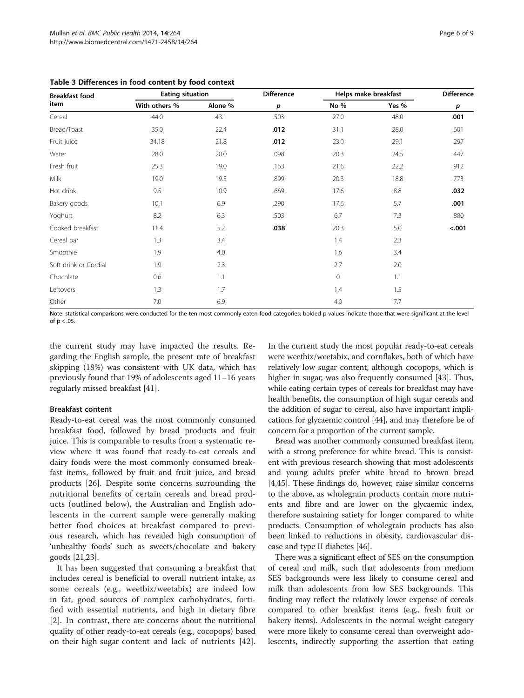| <b>Breakfast food</b><br>item | <b>Eating situation</b> |         | <b>Difference</b> | Helps make breakfast |       | <b>Difference</b> |
|-------------------------------|-------------------------|---------|-------------------|----------------------|-------|-------------------|
|                               | With others %           | Alone % | $\boldsymbol{p}$  | No %                 | Yes % | p                 |
| Cereal                        | 44.0                    | 43.1    | .503              | 27.0                 | 48.0  | .001              |
| Bread/Toast                   | 35.0                    | 22.4    | .012              | 31.1                 | 28.0  | .601              |
| Fruit juice                   | 34.18                   | 21.8    | .012              | 23.0                 | 29.1  | .297              |
| Water                         | 28.0                    | 20.0    | .098              | 20.3                 | 24.5  | .447              |
| Fresh fruit                   | 25.3                    | 19.0    | .163              | 21.6                 | 22.2  | .912              |
| Milk                          | 19.0                    | 19.5    | .899              | 20.3                 | 18.8  | .773              |
| Hot drink                     | 9.5                     | 10.9    | .669              | 17.6                 | 8.8   | .032              |
| Bakery goods                  | 10.1                    | 6.9     | .290              | 17.6                 | 5.7   | .001              |
| Yoghurt                       | 8.2                     | 6.3     | .503              | 6.7                  | 7.3   | .880              |
| Cooked breakfast              | 11.4                    | 5.2     | .038              | 20.3                 | 5.0   | < .001            |
| Cereal bar                    | 1.3                     | 3.4     |                   | 1.4                  | 2.3   |                   |
| Smoothie                      | 1.9                     | 4.0     |                   | 1.6                  | 3.4   |                   |
| Soft drink or Cordial         | 1.9                     | 2.3     |                   | 2.7                  | 2.0   |                   |
| Chocolate                     | 0.6                     | 1.1     |                   | $\circ$              | 1.1   |                   |
| Leftovers                     | 1.3                     | 1.7     |                   | 1.4                  | 1.5   |                   |
| Other                         | 7.0                     | 6.9     |                   | 4.0                  | 7.7   |                   |

<span id="page-6-0"></span>Table 3 Differences in food content by food context

Note: statistical comparisons were conducted for the ten most commonly eaten food categories; bolded p values indicate those that were significant at the level of  $p < .05$ .

the current study may have impacted the results. Regarding the English sample, the present rate of breakfast skipping (18%) was consistent with UK data, which has previously found that 19% of adolescents aged 11–16 years regularly missed breakfast [\[41\]](#page-9-0).

#### Breakfast content

Ready-to-eat cereal was the most commonly consumed breakfast food, followed by bread products and fruit juice. This is comparable to results from a systematic review where it was found that ready-to-eat cereals and dairy foods were the most commonly consumed breakfast items, followed by fruit and fruit juice, and bread products [\[26](#page-9-0)]. Despite some concerns surrounding the nutritional benefits of certain cereals and bread products (outlined below), the Australian and English adolescents in the current sample were generally making better food choices at breakfast compared to previous research, which has revealed high consumption of 'unhealthy foods' such as sweets/chocolate and bakery goods [[21,23](#page-9-0)].

It has been suggested that consuming a breakfast that includes cereal is beneficial to overall nutrient intake, as some cereals (e.g., weetbix/weetabix) are indeed low in fat, good sources of complex carbohydrates, fortified with essential nutrients, and high in dietary fibre [[2\]](#page-8-0). In contrast, there are concerns about the nutritional quality of other ready-to-eat cereals (e.g., cocopops) based on their high sugar content and lack of nutrients [\[42](#page-9-0)]. In the current study the most popular ready-to-eat cereals were weetbix/weetabix, and cornflakes, both of which have relatively low sugar content, although cocopops, which is higher in sugar, was also frequently consumed [[43](#page-9-0)]. Thus, while eating certain types of cereals for breakfast may have health benefits, the consumption of high sugar cereals and the addition of sugar to cereal, also have important implications for glycaemic control [[44](#page-9-0)], and may therefore be of concern for a proportion of the current sample.

Bread was another commonly consumed breakfast item, with a strong preference for white bread. This is consistent with previous research showing that most adolescents and young adults prefer white bread to brown bread [[4,](#page-8-0)[45](#page-9-0)]. These findings do, however, raise similar concerns to the above, as wholegrain products contain more nutrients and fibre and are lower on the glycaemic index, therefore sustaining satiety for longer compared to white products. Consumption of wholegrain products has also been linked to reductions in obesity, cardiovascular disease and type II diabetes [\[46\]](#page-9-0).

There was a significant effect of SES on the consumption of cereal and milk, such that adolescents from medium SES backgrounds were less likely to consume cereal and milk than adolescents from low SES backgrounds. This finding may reflect the relatively lower expense of cereals compared to other breakfast items (e.g., fresh fruit or bakery items). Adolescents in the normal weight category were more likely to consume cereal than overweight adolescents, indirectly supporting the assertion that eating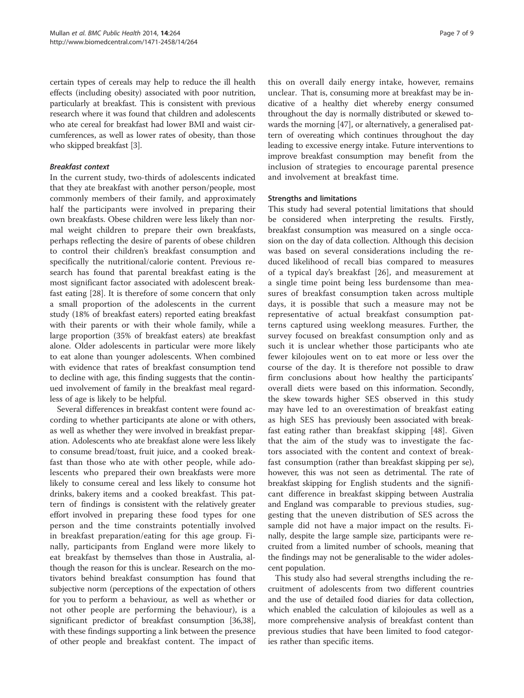certain types of cereals may help to reduce the ill health effects (including obesity) associated with poor nutrition, particularly at breakfast. This is consistent with previous research where it was found that children and adolescents who ate cereal for breakfast had lower BMI and waist circumferences, as well as lower rates of obesity, than those who skipped breakfast [\[3](#page-8-0)].

## Breakfast context

In the current study, two-thirds of adolescents indicated that they ate breakfast with another person/people, most commonly members of their family, and approximately half the participants were involved in preparing their own breakfasts. Obese children were less likely than normal weight children to prepare their own breakfasts, perhaps reflecting the desire of parents of obese children to control their children's breakfast consumption and specifically the nutritional/calorie content. Previous research has found that parental breakfast eating is the most significant factor associated with adolescent breakfast eating [[28\]](#page-9-0). It is therefore of some concern that only a small proportion of the adolescents in the current study (18% of breakfast eaters) reported eating breakfast with their parents or with their whole family, while a large proportion (35% of breakfast eaters) ate breakfast alone. Older adolescents in particular were more likely to eat alone than younger adolescents. When combined with evidence that rates of breakfast consumption tend to decline with age, this finding suggests that the continued involvement of family in the breakfast meal regardless of age is likely to be helpful.

Several differences in breakfast content were found according to whether participants ate alone or with others, as well as whether they were involved in breakfast preparation. Adolescents who ate breakfast alone were less likely to consume bread/toast, fruit juice, and a cooked breakfast than those who ate with other people, while adolescents who prepared their own breakfasts were more likely to consume cereal and less likely to consume hot drinks, bakery items and a cooked breakfast. This pattern of findings is consistent with the relatively greater effort involved in preparing these food types for one person and the time constraints potentially involved in breakfast preparation/eating for this age group. Finally, participants from England were more likely to eat breakfast by themselves than those in Australia, although the reason for this is unclear. Research on the motivators behind breakfast consumption has found that subjective norm (perceptions of the expectation of others for you to perform a behaviour, as well as whether or not other people are performing the behaviour), is a significant predictor of breakfast consumption [\[36,38](#page-9-0)], with these findings supporting a link between the presence of other people and breakfast content. The impact of

this on overall daily energy intake, however, remains unclear. That is, consuming more at breakfast may be indicative of a healthy diet whereby energy consumed throughout the day is normally distributed or skewed towards the morning [\[47](#page-9-0)], or alternatively, a generalised pattern of overeating which continues throughout the day leading to excessive energy intake. Future interventions to improve breakfast consumption may benefit from the inclusion of strategies to encourage parental presence and involvement at breakfast time.

### Strengths and limitations

This study had several potential limitations that should be considered when interpreting the results. Firstly, breakfast consumption was measured on a single occasion on the day of data collection. Although this decision was based on several considerations including the reduced likelihood of recall bias compared to measures of a typical day's breakfast [\[26](#page-9-0)], and measurement at a single time point being less burdensome than measures of breakfast consumption taken across multiple days, it is possible that such a measure may not be representative of actual breakfast consumption patterns captured using weeklong measures. Further, the survey focused on breakfast consumption only and as such it is unclear whether those participants who ate fewer kilojoules went on to eat more or less over the course of the day. It is therefore not possible to draw firm conclusions about how healthy the participants' overall diets were based on this information. Secondly, the skew towards higher SES observed in this study may have led to an overestimation of breakfast eating as high SES has previously been associated with breakfast eating rather than breakfast skipping [[48\]](#page-9-0). Given that the aim of the study was to investigate the factors associated with the content and context of breakfast consumption (rather than breakfast skipping per se), however, this was not seen as detrimental. The rate of breakfast skipping for English students and the significant difference in breakfast skipping between Australia and England was comparable to previous studies, suggesting that the uneven distribution of SES across the sample did not have a major impact on the results. Finally, despite the large sample size, participants were recruited from a limited number of schools, meaning that the findings may not be generalisable to the wider adolescent population.

This study also had several strengths including the recruitment of adolescents from two different countries and the use of detailed food diaries for data collection, which enabled the calculation of kilojoules as well as a more comprehensive analysis of breakfast content than previous studies that have been limited to food categories rather than specific items.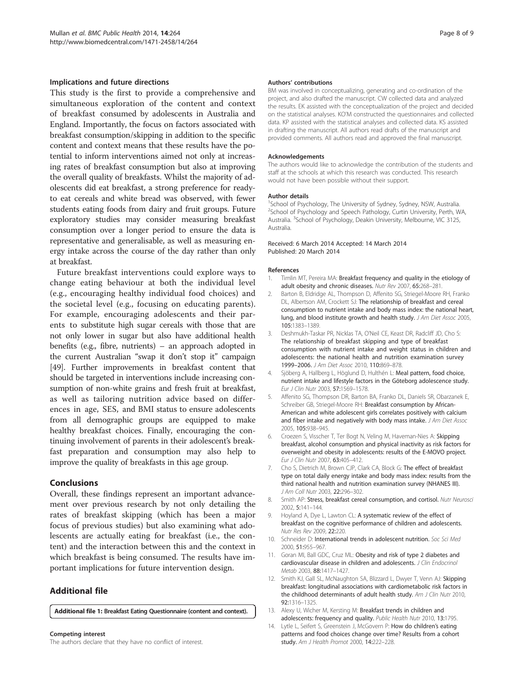#### <span id="page-8-0"></span>Implications and future directions

This study is the first to provide a comprehensive and simultaneous exploration of the content and context of breakfast consumed by adolescents in Australia and England. Importantly, the focus on factors associated with breakfast consumption/skipping in addition to the specific content and context means that these results have the potential to inform interventions aimed not only at increasing rates of breakfast consumption but also at improving the overall quality of breakfasts. Whilst the majority of adolescents did eat breakfast, a strong preference for readyto eat cereals and white bread was observed, with fewer students eating foods from dairy and fruit groups. Future exploratory studies may consider measuring breakfast consumption over a longer period to ensure the data is representative and generalisable, as well as measuring energy intake across the course of the day rather than only at breakfast.

Future breakfast interventions could explore ways to change eating behaviour at both the individual level (e.g., encouraging healthy individual food choices) and the societal level (e.g., focusing on educating parents). For example, encouraging adolescents and their parents to substitute high sugar cereals with those that are not only lower in sugar but also have additional health benefits (e.g., fibre, nutrients) – an approach adopted in the current Australian "swap it don't stop it" campaign [[49](#page-9-0)]. Further improvements in breakfast content that should be targeted in interventions include increasing consumption of non-white grains and fresh fruit at breakfast, as well as tailoring nutrition advice based on differences in age, SES, and BMI status to ensure adolescents from all demographic groups are equipped to make healthy breakfast choices. Finally, encouraging the continuing involvement of parents in their adolescent's breakfast preparation and consumption may also help to improve the quality of breakfasts in this age group.

### Conclusions

Overall, these findings represent an important advancement over previous research by not only detailing the rates of breakfast skipping (which has been a major focus of previous studies) but also examining what adolescents are actually eating for breakfast (i.e., the content) and the interaction between this and the context in which breakfast is being consumed. The results have important implications for future intervention design.

## Additional file

[Additional file 1:](http://www.biomedcentral.com/content/supplementary/1471-2458-14-264-S1.docx) Breakfast Eating Questionnaire (content and context).

#### Competing interest

The authors declare that they have no conflict of interest.

#### Authors' contributions

BM was involved in conceptualizing, generating and co-ordination of the project, and also drafted the manuscript. CW collected data and analyzed the results. EK assisted with the conceptualization of the project and decided on the statistical analyses. KO'M constructed the questionnaires and collected data. KP assisted with the statistical analyses and collected data. KS assisted in drafting the manuscript. All authors read drafts of the manuscript and provided comments. All authors read and approved the final manuscript.

#### Acknowledgements

The authors would like to acknowledge the contribution of the students and staff at the schools at which this research was conducted. This research would not have been possible without their support.

#### Author details

<sup>1</sup>School of Psychology, The University of Sydney, Sydney, NSW, Australia <sup>2</sup>School of Psychology and Speech Pathology, Curtin University, Perth, WA, Australia. <sup>3</sup>School of Psychology, Deakin University, Melbourne, VIC 3125 Australia.

#### Received: 6 March 2014 Accepted: 14 March 2014 Published: 20 March 2014

#### References

- 1. Timlin MT, Pereira MA: Breakfast frequency and quality in the etiology of adult obesity and chronic diseases. Nutr Rev 2007, 65:268–281.
- 2. Barton B, Eldridge AL, Thompson D, Affenito SG, Striegel-Moore RH, Franko DL, Albertson AM, Crockett SJ: The relationship of breakfast and cereal consumption to nutrient intake and body mass index: the national heart, lung, and blood institute growth and health study. J Am Diet Assoc 2005, 105:1383–1389.
- 3. Deshmukh-Taskar PR, Nicklas TA, O'Neil CE, Keast DR, Radcliff JD, Cho S: The relationship of breakfast skipping and type of breakfast consumption with nutrient intake and weight status in children and adolescents: the national health and nutrition examination survey 1999–2006. J Am Diet Assoc 2010, 110:869–878.
- 4. Sjöberg A, Hallberg L, Höglund D, Hulthén L: Meal pattern, food choice, nutrient intake and lifestyle factors in the Göteborg adolescence study. Eur J Clin Nutr 2003, 57:1569–1578.
- 5. Affenito SG, Thompson DR, Barton BA, Franko DL, Daniels SR, Obarzanek E, Schreiber GB, Striegel-Moore RH: Breakfast consumption by African-American and white adolescent girls correlates positively with calcium and fiber intake and negatively with body mass intake. J Am Diet Assoc 2005, 105:938–945.
- 6. Croezen S, Visscher T, Ter Bogt N, Veling M, Haveman-Nies A: Skipping breakfast, alcohol consumption and physical inactivity as risk factors for overweight and obesity in adolescents: results of the E-MOVO project. Eur J Clin Nutr 2007, 63:405-412.
- 7. Cho S, Dietrich M, Brown CJP, Clark CA, Block G: The effect of breakfast type on total daily energy intake and body mass index: results from the third national health and nutrition examination survey (NHANES III). J Am Coll Nutr 2003, 22:296–302.
- 8. Smith AP: Stress, breakfast cereal consumption, and cortisol. Nutr Neurosci 2002, 5:141–144.
- 9. Hoyland A, Dye L, Lawton CL: A systematic review of the effect of breakfast on the cognitive performance of children and adolescents. Nutr Res Rev 2009, 22:220.
- 10. Schneider D: International trends in adolescent nutrition. Soc Sci Med 2000, 51:955–967.
- 11. Goran MI, Ball GDC, Cruz ML: Obesity and risk of type 2 diabetes and cardiovascular disease in children and adolescents. J Clin Endocrinol Metab 2003, 88:1417–1427.
- 12. Smith KJ, Gall SL, McNaughton SA, Blizzard L, Dwyer T, Venn AJ: Skipping breakfast: longitudinal associations with cardiometabolic risk factors in the childhood determinants of adult health study. Am J Clin Nutr 2010, 92:1316–1325.
- 13. Alexy U, Wicher M, Kersting M: Breakfast trends in children and adolescents: frequency and quality. Public Health Nutr 2010, 13:1795.
- 14. Lytle L, Seifert S, Greenstein J, McGovern P: How do children's eating patterns and food choices change over time? Results from a cohort study. Am J Health Promot 2000, 14:222–228.